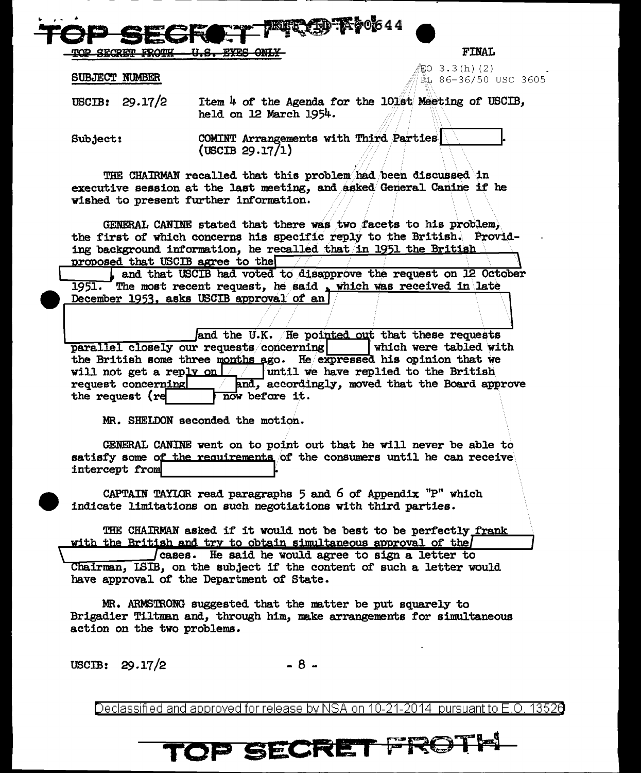<u>SECRETI</u>

**FINAL** 

EO 3.3(h)(2) EL 86-36/50 USC 3605

**SUBJECT NUMBER** 

USCIB:  $29.17/2$ Item 4 of the Agenda for the 101st Meeting of USCIB, held on 12 March 1954.

**UT AD Koo**644

COMINT Arrangements with Third Parties Subject:  $(USCIB 29.17/1)$ 

THE CHAIRMAN recalled that this problem had been discussed in executive session at the last meeting, and asked General Canine if he wished to present further information.

GENERAL CANINE stated that there was two facets to his problem, the first of which concerns his specific reply to the British. Providing background information, he recalled that in 1951 the British proposed that USCIB agree to the

, and that USCIB had voted to disapprove the request on 12 October The most recent request, he said, which was received in late 1951. December 1953, asks USCIB approval of an

and the U.K. He pointed out that these requests parallel closely our requests concerning which were tabled with the British some three months ago. He expressed his opinion that we will not get a reply on  $\lfloor \frac{1}{2} \rfloor$  whill we have replied to the British and, accordingly, moved that the Board approve request concerning the request (re now before it.

MR. SHELDON seconded the motion.

GENERAL CANINE went on to point out that he will never be able to satisfy some of the requirements of the consumers until he can receive intercept from

CAPTAIN TAYLOR read paragraphs  $5$  and  $6$  of Appendix  $"P"$  which indicate limitations on such negotiations with third parties.

THE CHAIRMAN asked if it would not be best to be perfectly frank with the British and try to obtain simultaneous approval of the

cases. He said he would agree to sign a letter to Chairman, ISIB, on the subject if the content of such a letter would have approval of the Department of State.

MR. ARMSTRONG suggested that the matter be put squarely to Brigadier Tiltman and, through him, make arrangements for simultaneous action on the two problems.

USCIB:  $29.17/2$ 

 $-8-$ 

Declassified and approved for release by NSA on 10-21-2014 pursuant to E.O. 13520

## TOP SECRET FROT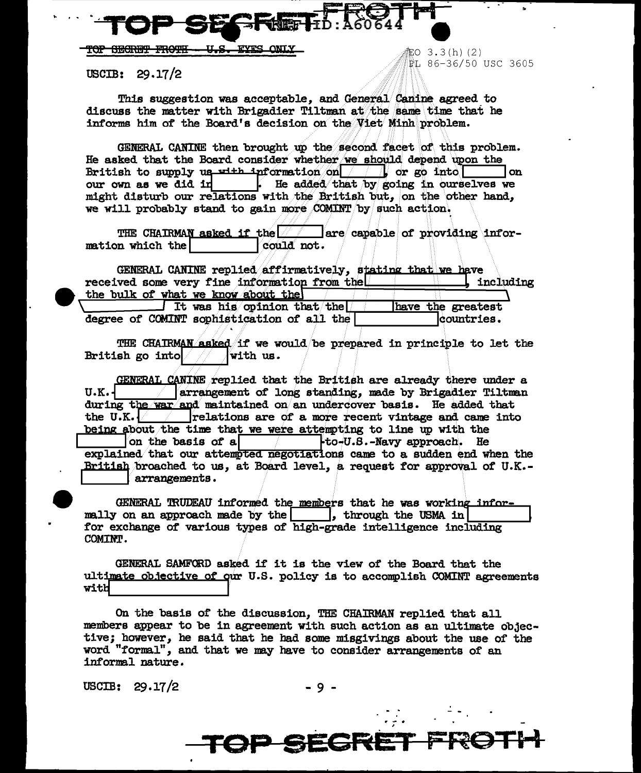**FYRS FOR SECRET FROTH** <u>n a - </u>

 $USCIB: 29.17/2$ 

This suggestion was acceptable, and General Canine agreed to discuss the matter with Brigadier Tiltman at the same time that he informs him of the Board's decision on the Viet Minh problem.

-<br>部O 3.3(h)(2)

PL 86-36/50 USC 3605

GENERAL CANINE then brought up the second facet of this problem. He asked that the Board consider whether we should depend upon the British to supply us  $x$ <sup>1+h</sup> information on  $\boxed{\qquad}$  or go into l on our own as we did in . He added that by going in ourselves we might disturb our relations with the British but, on the other hand, we will probably stand to gain more COMINT by such action.

THE CHAIRMAN asked if the  $|$ are capable of providing information which the could not.

GENERAL CANINE replied affirmatively, stating that we have received some very fine information from the including the bulk of what we know about the It was his opinion that the have the greatest

degree of COMINT sophistication of all the countries.

THE CHAIRMAN asked if we would be prepared in principle to let the British go into with us.

GENERAL CANINE replied that the British are already there under a  $U.K.$ arrangement of long standing, made by Brigadier Tiltman during the war and maintained on an undercover basis. He added that the U.K.  $\sqrt{ }$  relations are of a more recent vintage and came into being about the time that we were attempting to line up with the on the basis of a  $\uparrow$   $\downarrow$  to-U.S.-Navy approach. He explained that our attempted negotiations came to a sudden end when the British broached to us, at Board level, a request for approval of U.K.arrangements.

GENERAL TRUDEAU informed the members that he was working informally on an approach made by the | |, through the USMA in for exchange of various types of high-grade intelligence including COMINT.

GENERAL SAMFORD asked if it is the view of the Board that the ultimate objective of our U.S. policy is to accomplish COMINT agreements with

On the basis of the discussion, THE CHAIRMAN replied that all members appear to be in agreement with such action as an ultimate objective; however, he said that he had some misgivings about the use of the word "formal", and that we may have to consider arrangements of an informal nature.

USCIB:  $29.17/2$ 

**P SEGRE**